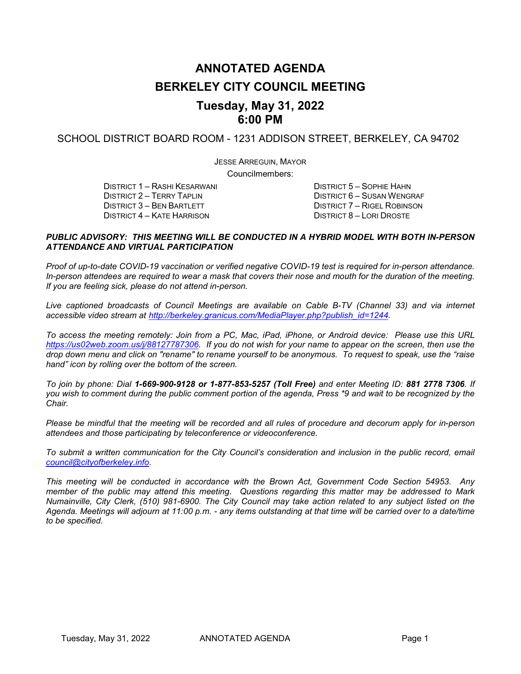# **ANNOTATED AGENDA BERKELEY CITY COUNCIL MEETING Tuesday, May 31, 2022**

# **6:00 PM**

SCHOOL DISTRICT BOARD ROOM - 1231 ADDISON STREET, BERKELEY, CA 94702

JESSE ARREGUIN, MAYOR

Councilmembers:

DISTRICT 1 – RASHI KESARWANI DISTRICT 5 – SOPHIE HAHN DISTRICT 4 – KATE HARRISON

DISTRICT 2 – TERRY TAPLIN DISTRICT 6 – SUSAN WENGRAF DISTRICT 6 – SUSAN WENGRAF DISTRICT 3 – BEN BARTLETT DISTRICT 7 – RIGEL ROBINSON<br>DISTRICT 8 – LORI DROSTE

#### *PUBLIC ADVISORY: THIS MEETING WILL BE CONDUCTED IN A HYBRID MODEL WITH BOTH IN-PERSON ATTENDANCE AND VIRTUAL PARTICIPATION*

*Proof of up-to-date COVID-19 vaccination or verified negative COVID-19 test is required for in-person attendance. In-person attendees are required to wear a mask that covers their nose and mouth for the duration of the meeting. If you are feeling sick, please do not attend in-person.*

*Live captioned broadcasts of Council Meetings are available on Cable B-TV (Channel 33) and via internet accessible video stream at [http://berkeley.granicus.com/MediaPlayer.php?publish\\_id=1244.](http://berkeley.granicus.com/MediaPlayer.php?publish_id=1244)* 

*To access the meeting remotely: Join from a PC, Mac, iPad, iPhone, or Android device: Please use this URL [https://us02web.zoom.us/j/88127787306.](https://us02web.zoom.us/j/88127787306) If you do not wish for your name to appear on the screen, then use the drop down menu and click on "rename" to rename yourself to be anonymous. To request to speak, use the "raise hand" icon by rolling over the bottom of the screen.* 

*To join by phone: Dial 1-669-900-9128 or 1-877-853-5257 (Toll Free) and enter Meeting ID: 881 2778 7306. If you wish to comment during the public comment portion of the agenda, Press \*9 and wait to be recognized by the Chair.* 

*Please be mindful that the meeting will be recorded and all rules of procedure and decorum apply for in-person attendees and those participating by teleconference or videoconference.*

*To submit a written communication for the City Council's consideration and inclusion in the public record, email [council@cityofberkeley.info.](mailto:council@cityofberkeley.info)* 

*This meeting will be conducted in accordance with the Brown Act, Government Code Section 54953. Any member of the public may attend this meeting. Questions regarding this matter may be addressed to Mark Numainville, City Clerk, (510) 981-6900. The City Council may take action related to any subject listed on the Agenda. Meetings will adjourn at 11:00 p.m. - any items outstanding at that time will be carried over to a date/time to be specified.*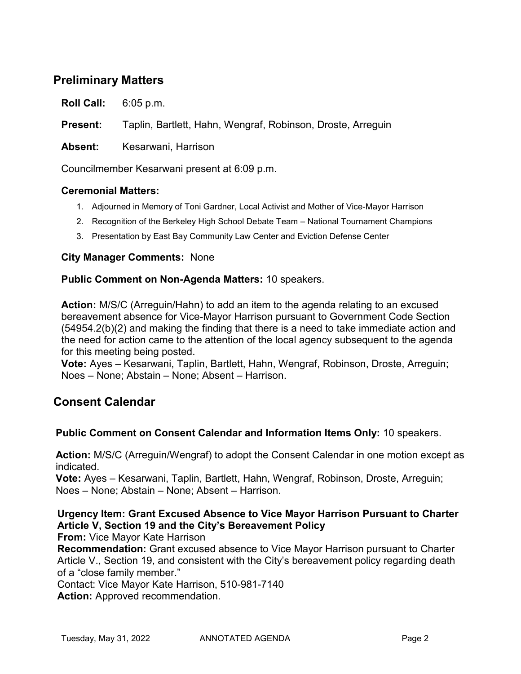# **Preliminary Matters**

**Roll Call:** 6:05 p.m.

**Present:** Taplin, Bartlett, Hahn, Wengraf, Robinson, Droste, Arreguin

**Absent:** Kesarwani, Harrison

Councilmember Kesarwani present at 6:09 p.m.

#### **Ceremonial Matters:**

- 1. Adjourned in Memory of Toni Gardner, Local Activist and Mother of Vice-Mayor Harrison
- 2. Recognition of the Berkeley High School Debate Team National Tournament Champions
- 3. Presentation by East Bay Community Law Center and Eviction Defense Center

### **City Manager Comments:** None

#### **Public Comment on Non-Agenda Matters:** 10 speakers.

**Action:** M/S/C (Arreguin/Hahn) to add an item to the agenda relating to an excused bereavement absence for Vice-Mayor Harrison pursuant to Government Code Section (54954.2(b)(2) and making the finding that there is a need to take immediate action and the need for action came to the attention of the local agency subsequent to the agenda for this meeting being posted.

**Vote:** Ayes – Kesarwani, Taplin, Bartlett, Hahn, Wengraf, Robinson, Droste, Arreguin; Noes – None; Abstain – None; Absent – Harrison.

# **Consent Calendar**

### **Public Comment on Consent Calendar and Information Items Only:** 10 speakers.

**Action:** M/S/C (Arreguin/Wengraf) to adopt the Consent Calendar in one motion except as indicated.

**Vote:** Ayes – Kesarwani, Taplin, Bartlett, Hahn, Wengraf, Robinson, Droste, Arreguin; Noes – None; Abstain – None; Absent – Harrison.

### **Urgency Item: Grant Excused Absence to Vice Mayor Harrison Pursuant to Charter Article V, Section 19 and the City's Bereavement Policy**

**From:** Vice Mayor Kate Harrison

**Recommendation:** Grant excused absence to Vice Mayor Harrison pursuant to Charter Article V., Section 19, and consistent with the City's bereavement policy regarding death of a "close family member."

Contact: Vice Mayor Kate Harrison, 510-981-7140

**Action:** Approved recommendation.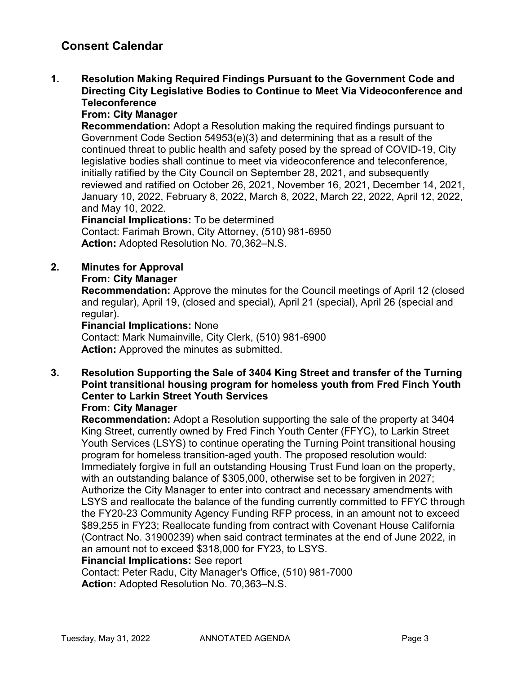### **1. Resolution Making Required Findings Pursuant to the Government Code and Directing City Legislative Bodies to Continue to Meet Via Videoconference and Teleconference**

### **From: City Manager**

**Recommendation:** Adopt a Resolution making the required findings pursuant to Government Code Section 54953(e)(3) and determining that as a result of the continued threat to public health and safety posed by the spread of COVID-19, City legislative bodies shall continue to meet via videoconference and teleconference, initially ratified by the City Council on September 28, 2021, and subsequently reviewed and ratified on October 26, 2021, November 16, 2021, December 14, 2021, January 10, 2022, February 8, 2022, March 8, 2022, March 22, 2022, April 12, 2022, and May 10, 2022.

**Financial Implications:** To be determined Contact: Farimah Brown, City Attorney, (510) 981-6950 **Action:** Adopted Resolution No. 70,362–N.S.

### **2. Minutes for Approval**

#### **From: City Manager**

**Recommendation:** Approve the minutes for the Council meetings of April 12 (closed and regular), April 19, (closed and special), April 21 (special), April 26 (special and regular).

#### **Financial Implications:** None

Contact: Mark Numainville, City Clerk, (510) 981-6900 **Action:** Approved the minutes as submitted.

# **3. Resolution Supporting the Sale of 3404 King Street and transfer of the Turning Point transitional housing program for homeless youth from Fred Finch Youth Center to Larkin Street Youth Services**

### **From: City Manager**

**Recommendation:** Adopt a Resolution supporting the sale of the property at 3404 King Street, currently owned by Fred Finch Youth Center (FFYC), to Larkin Street Youth Services (LSYS) to continue operating the Turning Point transitional housing program for homeless transition-aged youth. The proposed resolution would: Immediately forgive in full an outstanding Housing Trust Fund loan on the property, with an outstanding balance of \$305,000, otherwise set to be forgiven in 2027; Authorize the City Manager to enter into contract and necessary amendments with LSYS and reallocate the balance of the funding currently committed to FFYC through the FY20-23 Community Agency Funding RFP process, in an amount not to exceed \$89,255 in FY23; Reallocate funding from contract with Covenant House California (Contract No. 31900239) when said contract terminates at the end of June 2022, in an amount not to exceed \$318,000 for FY23, to LSYS.

#### **Financial Implications:** See report

Contact: Peter Radu, City Manager's Office, (510) 981-7000 **Action:** Adopted Resolution No. 70,363–N.S.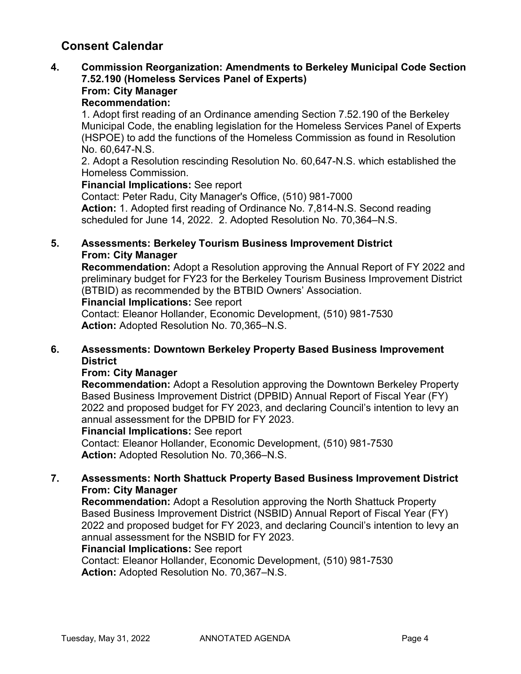#### **4. Commission Reorganization: Amendments to Berkeley Municipal Code Section 7.52.190 (Homeless Services Panel of Experts) From: City Manager**

### **Recommendation:**

1. Adopt first reading of an Ordinance amending Section 7.52.190 of the Berkeley Municipal Code, the enabling legislation for the Homeless Services Panel of Experts (HSPOE) to add the functions of the Homeless Commission as found in Resolution No. 60,647-N.S.

2. Adopt a Resolution rescinding Resolution No. 60,647-N.S. which established the Homeless Commission.

#### **Financial Implications:** See report

Contact: Peter Radu, City Manager's Office, (510) 981-7000 **Action:** 1. Adopted first reading of Ordinance No. 7,814-N.S. Second reading scheduled for June 14, 2022. 2. Adopted Resolution No. 70,364–N.S.

### **5. Assessments: Berkeley Tourism Business Improvement District From: City Manager**

**Recommendation:** Adopt a Resolution approving the Annual Report of FY 2022 and preliminary budget for FY23 for the Berkeley Tourism Business Improvement District (BTBID) as recommended by the BTBID Owners' Association.

**Financial Implications:** See report

Contact: Eleanor Hollander, Economic Development, (510) 981-7530 **Action:** Adopted Resolution No. 70,365–N.S.

### **6. Assessments: Downtown Berkeley Property Based Business Improvement District**

### **From: City Manager**

**Recommendation:** Adopt a Resolution approving the Downtown Berkeley Property Based Business Improvement District (DPBID) Annual Report of Fiscal Year (FY) 2022 and proposed budget for FY 2023, and declaring Council's intention to levy an annual assessment for the DPBID for FY 2023.

#### **Financial Implications:** See report

Contact: Eleanor Hollander, Economic Development, (510) 981-7530 **Action:** Adopted Resolution No. 70,366–N.S.

### **7. Assessments: North Shattuck Property Based Business Improvement District From: City Manager**

**Recommendation:** Adopt a Resolution approving the North Shattuck Property Based Business Improvement District (NSBID) Annual Report of Fiscal Year (FY) 2022 and proposed budget for FY 2023, and declaring Council's intention to levy an annual assessment for the NSBID for FY 2023.

### **Financial Implications:** See report

Contact: Eleanor Hollander, Economic Development, (510) 981-7530 **Action:** Adopted Resolution No. 70,367–N.S.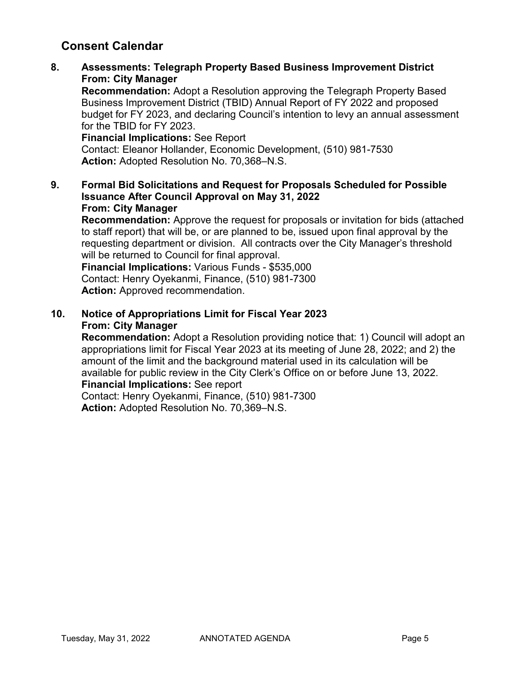**8. Assessments: Telegraph Property Based Business Improvement District From: City Manager**

**Recommendation:** Adopt a Resolution approving the Telegraph Property Based Business Improvement District (TBID) Annual Report of FY 2022 and proposed budget for FY 2023, and declaring Council's intention to levy an annual assessment for the TBID for FY 2023.

**Financial Implications:** See Report Contact: Eleanor Hollander, Economic Development, (510) 981-7530 **Action:** Adopted Resolution No. 70,368–N.S.

**9. Formal Bid Solicitations and Request for Proposals Scheduled for Possible Issuance After Council Approval on May 31, 2022 From: City Manager**

**Recommendation:** Approve the request for proposals or invitation for bids (attached to staff report) that will be, or are planned to be, issued upon final approval by the requesting department or division. All contracts over the City Manager's threshold will be returned to Council for final approval.

**Financial Implications:** Various Funds - \$535,000 Contact: Henry Oyekanmi, Finance, (510) 981-7300 **Action:** Approved recommendation.

**10. Notice of Appropriations Limit for Fiscal Year 2023 From: City Manager**

**Recommendation:** Adopt a Resolution providing notice that: 1) Council will adopt an appropriations limit for Fiscal Year 2023 at its meeting of June 28, 2022; and 2) the amount of the limit and the background material used in its calculation will be available for public review in the City Clerk's Office on or before June 13, 2022.

### **Financial Implications:** See report

Contact: Henry Oyekanmi, Finance, (510) 981-7300 **Action:** Adopted Resolution No. 70,369–N.S.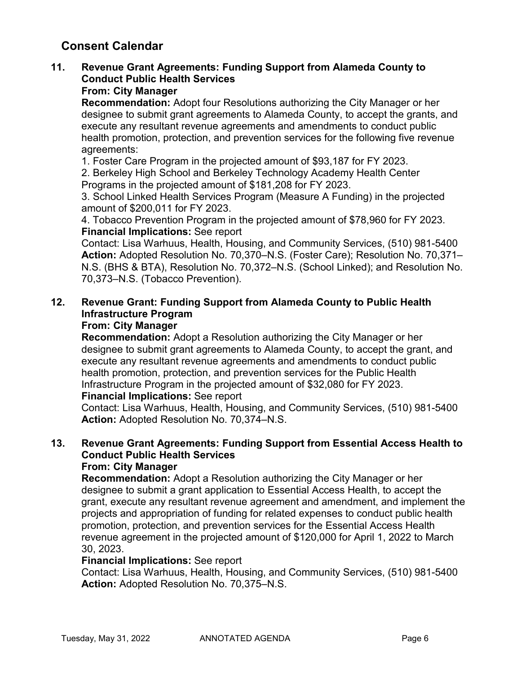# **11. Revenue Grant Agreements: Funding Support from Alameda County to Conduct Public Health Services**

### **From: City Manager**

**Recommendation:** Adopt four Resolutions authorizing the City Manager or her designee to submit grant agreements to Alameda County, to accept the grants, and execute any resultant revenue agreements and amendments to conduct public health promotion, protection, and prevention services for the following five revenue agreements:

1. Foster Care Program in the projected amount of \$93,187 for FY 2023.

2. Berkeley High School and Berkeley Technology Academy Health Center Programs in the projected amount of \$181,208 for FY 2023.

3. School Linked Health Services Program (Measure A Funding) in the projected amount of \$200,011 for FY 2023.

4. Tobacco Prevention Program in the projected amount of \$78,960 for FY 2023. **Financial Implications:** See report

Contact: Lisa Warhuus, Health, Housing, and Community Services, (510) 981-5400 **Action:** Adopted Resolution No. 70,370–N.S. (Foster Care); Resolution No. 70,371– N.S. (BHS & BTA), Resolution No. 70,372–N.S. (School Linked); and Resolution No. 70,373–N.S. (Tobacco Prevention).

### **12. Revenue Grant: Funding Support from Alameda County to Public Health Infrastructure Program**

### **From: City Manager**

**Recommendation:** Adopt a Resolution authorizing the City Manager or her designee to submit grant agreements to Alameda County, to accept the grant, and execute any resultant revenue agreements and amendments to conduct public health promotion, protection, and prevention services for the Public Health Infrastructure Program in the projected amount of \$32,080 for FY 2023.

### **Financial Implications:** See report

Contact: Lisa Warhuus, Health, Housing, and Community Services, (510) 981-5400 **Action:** Adopted Resolution No. 70,374–N.S.

# **13. Revenue Grant Agreements: Funding Support from Essential Access Health to Conduct Public Health Services**

### **From: City Manager**

**Recommendation:** Adopt a Resolution authorizing the City Manager or her designee to submit a grant application to Essential Access Health, to accept the grant, execute any resultant revenue agreement and amendment, and implement the projects and appropriation of funding for related expenses to conduct public health promotion, protection, and prevention services for the Essential Access Health revenue agreement in the projected amount of \$120,000 for April 1, 2022 to March 30, 2023.

### **Financial Implications:** See report

Contact: Lisa Warhuus, Health, Housing, and Community Services, (510) 981-5400 **Action:** Adopted Resolution No. 70,375–N.S.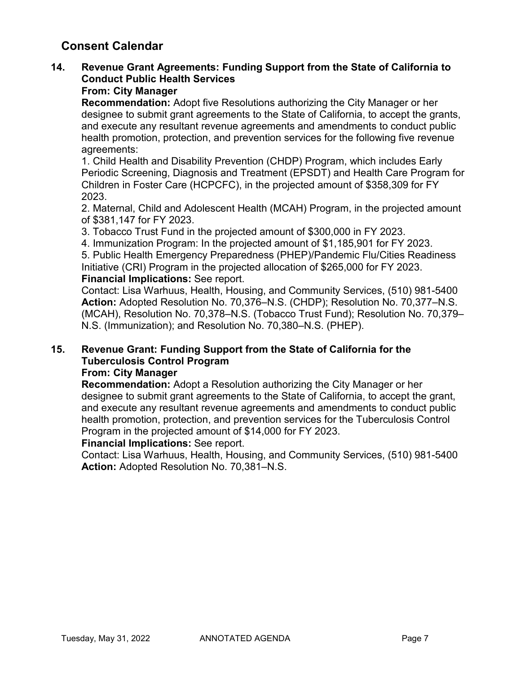# **14. Revenue Grant Agreements: Funding Support from the State of California to Conduct Public Health Services**

### **From: City Manager**

**Recommendation:** Adopt five Resolutions authorizing the City Manager or her designee to submit grant agreements to the State of California, to accept the grants, and execute any resultant revenue agreements and amendments to conduct public health promotion, protection, and prevention services for the following five revenue agreements:

1. Child Health and Disability Prevention (CHDP) Program, which includes Early Periodic Screening, Diagnosis and Treatment (EPSDT) and Health Care Program for Children in Foster Care (HCPCFC), in the projected amount of \$358,309 for FY 2023.

2. Maternal, Child and Adolescent Health (MCAH) Program, in the projected amount of \$381,147 for FY 2023.

3. Tobacco Trust Fund in the projected amount of \$300,000 in FY 2023.

4. Immunization Program: In the projected amount of \$1,185,901 for FY 2023.

5. Public Health Emergency Preparedness (PHEP)/Pandemic Flu/Cities Readiness Initiative (CRI) Program in the projected allocation of \$265,000 for FY 2023. **Financial Implications:** See report.

Contact: Lisa Warhuus, Health, Housing, and Community Services, (510) 981-5400 **Action:** Adopted Resolution No. 70,376–N.S. (CHDP); Resolution No. 70,377–N.S. (MCAH), Resolution No. 70,378–N.S. (Tobacco Trust Fund); Resolution No. 70,379– N.S. (Immunization); and Resolution No. 70,380–N.S. (PHEP).

# **15. Revenue Grant: Funding Support from the State of California for the Tuberculosis Control Program**

### **From: City Manager**

**Recommendation:** Adopt a Resolution authorizing the City Manager or her designee to submit grant agreements to the State of California, to accept the grant, and execute any resultant revenue agreements and amendments to conduct public health promotion, protection, and prevention services for the Tuberculosis Control Program in the projected amount of \$14,000 for FY 2023.

### **Financial Implications:** See report.

Contact: Lisa Warhuus, Health, Housing, and Community Services, (510) 981-5400 **Action:** Adopted Resolution No. 70,381–N.S.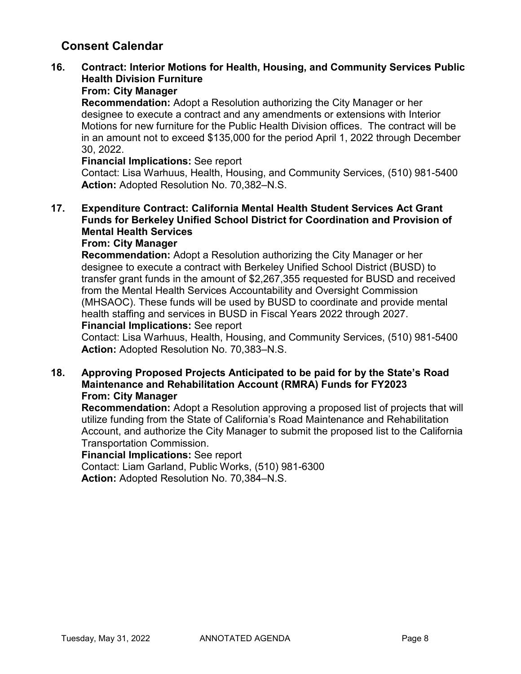# **16. Contract: Interior Motions for Health, Housing, and Community Services Public Health Division Furniture**

# **From: City Manager**

**Recommendation:** Adopt a Resolution authorizing the City Manager or her designee to execute a contract and any amendments or extensions with Interior Motions for new furniture for the Public Health Division offices. The contract will be in an amount not to exceed \$135,000 for the period April 1, 2022 through December 30, 2022.

#### **Financial Implications:** See report

Contact: Lisa Warhuus, Health, Housing, and Community Services, (510) 981-5400 **Action:** Adopted Resolution No. 70,382–N.S.

### **17. Expenditure Contract: California Mental Health Student Services Act Grant Funds for Berkeley Unified School District for Coordination and Provision of Mental Health Services**

### **From: City Manager**

**Recommendation:** Adopt a Resolution authorizing the City Manager or her designee to execute a contract with Berkeley Unified School District (BUSD) to transfer grant funds in the amount of \$2,267,355 requested for BUSD and received from the Mental Health Services Accountability and Oversight Commission (MHSAOC). These funds will be used by BUSD to coordinate and provide mental health staffing and services in BUSD in Fiscal Years 2022 through 2027.

#### **Financial Implications:** See report

Contact: Lisa Warhuus, Health, Housing, and Community Services, (510) 981-5400 **Action:** Adopted Resolution No. 70,383–N.S.

### **18. Approving Proposed Projects Anticipated to be paid for by the State's Road Maintenance and Rehabilitation Account (RMRA) Funds for FY2023 From: City Manager**

**Recommendation:** Adopt a Resolution approving a proposed list of projects that will utilize funding from the State of California's Road Maintenance and Rehabilitation Account, and authorize the City Manager to submit the proposed list to the California Transportation Commission.

#### **Financial Implications:** See report

Contact: Liam Garland, Public Works, (510) 981-6300 **Action:** Adopted Resolution No. 70,384–N.S.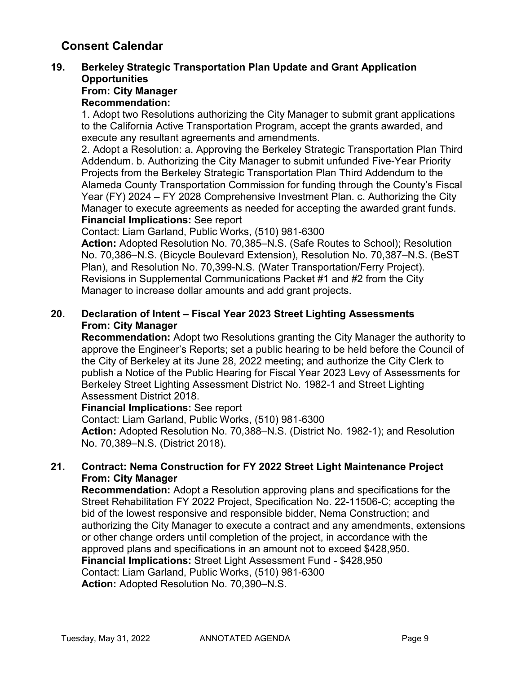# **19. Berkeley Strategic Transportation Plan Update and Grant Application Opportunities**

# **From: City Manager**

# **Recommendation:**

1. Adopt two Resolutions authorizing the City Manager to submit grant applications to the California Active Transportation Program, accept the grants awarded, and execute any resultant agreements and amendments.

2. Adopt a Resolution: a. Approving the Berkeley Strategic Transportation Plan Third Addendum. b. Authorizing the City Manager to submit unfunded Five-Year Priority Projects from the Berkeley Strategic Transportation Plan Third Addendum to the Alameda County Transportation Commission for funding through the County's Fiscal Year (FY) 2024 – FY 2028 Comprehensive Investment Plan. c. Authorizing the City Manager to execute agreements as needed for accepting the awarded grant funds. **Financial Implications:** See report

Contact: Liam Garland, Public Works, (510) 981-6300

**Action:** Adopted Resolution No. 70,385–N.S. (Safe Routes to School); Resolution No. 70,386–N.S. (Bicycle Boulevard Extension), Resolution No. 70,387–N.S. (BeST Plan), and Resolution No. 70,399-N.S. (Water Transportation/Ferry Project). Revisions in Supplemental Communications Packet #1 and #2 from the City Manager to increase dollar amounts and add grant projects.

### **20. Declaration of Intent – Fiscal Year 2023 Street Lighting Assessments From: City Manager**

**Recommendation:** Adopt two Resolutions granting the City Manager the authority to approve the Engineer's Reports; set a public hearing to be held before the Council of the City of Berkeley at its June 28, 2022 meeting; and authorize the City Clerk to publish a Notice of the Public Hearing for Fiscal Year 2023 Levy of Assessments for Berkeley Street Lighting Assessment District No. 1982-1 and Street Lighting Assessment District 2018.

### **Financial Implications:** See report

Contact: Liam Garland, Public Works, (510) 981-6300 **Action:** Adopted Resolution No. 70,388–N.S. (District No. 1982-1); and Resolution No. 70,389–N.S. (District 2018).

### **21. Contract: Nema Construction for FY 2022 Street Light Maintenance Project From: City Manager**

**Recommendation:** Adopt a Resolution approving plans and specifications for the Street Rehabilitation FY 2022 Project, Specification No. 22-11506-C; accepting the bid of the lowest responsive and responsible bidder, Nema Construction; and authorizing the City Manager to execute a contract and any amendments, extensions or other change orders until completion of the project, in accordance with the approved plans and specifications in an amount not to exceed \$428,950. **Financial Implications:** Street Light Assessment Fund - \$428,950 Contact: Liam Garland, Public Works, (510) 981-6300 **Action:** Adopted Resolution No. 70,390–N.S.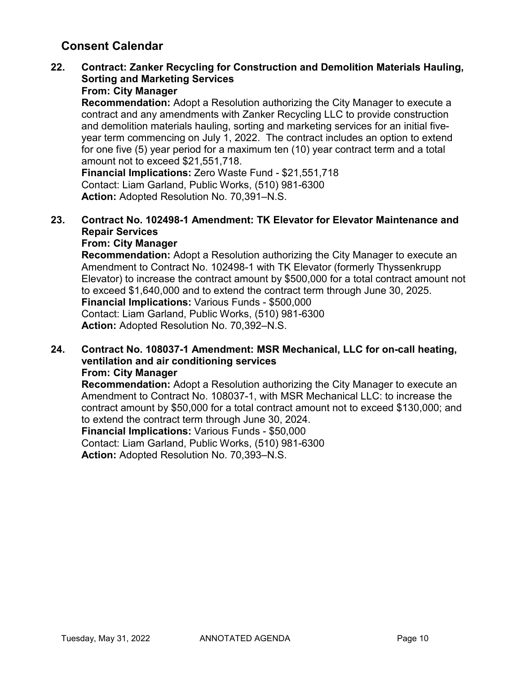# **22. Contract: Zanker Recycling for Construction and Demolition Materials Hauling, Sorting and Marketing Services**

### **From: City Manager**

**Recommendation:** Adopt a Resolution authorizing the City Manager to execute a contract and any amendments with Zanker Recycling LLC to provide construction and demolition materials hauling, sorting and marketing services for an initial fiveyear term commencing on July 1, 2022. The contract includes an option to extend for one five (5) year period for a maximum ten (10) year contract term and a total amount not to exceed \$21,551,718.

**Financial Implications:** Zero Waste Fund - \$21,551,718 Contact: Liam Garland, Public Works, (510) 981-6300 **Action:** Adopted Resolution No. 70,391–N.S.

### **23. Contract No. 102498-1 Amendment: TK Elevator for Elevator Maintenance and Repair Services**

### **From: City Manager**

**Recommendation:** Adopt a Resolution authorizing the City Manager to execute an Amendment to Contract No. 102498-1 with TK Elevator (formerly Thyssenkrupp Elevator) to increase the contract amount by \$500,000 for a total contract amount not to exceed \$1,640,000 and to extend the contract term through June 30, 2025. **Financial Implications:** Various Funds - \$500,000 Contact: Liam Garland, Public Works, (510) 981-6300 **Action:** Adopted Resolution No. 70,392–N.S.

#### **24. Contract No. 108037-1 Amendment: MSR Mechanical, LLC for on-call heating, ventilation and air conditioning services From: City Manager**

**Recommendation:** Adopt a Resolution authorizing the City Manager to execute an Amendment to Contract No. 108037-1, with MSR Mechanical LLC: to increase the contract amount by \$50,000 for a total contract amount not to exceed \$130,000; and to extend the contract term through June 30, 2024.

**Financial Implications:** Various Funds - \$50,000

Contact: Liam Garland, Public Works, (510) 981-6300

**Action:** Adopted Resolution No. 70,393–N.S.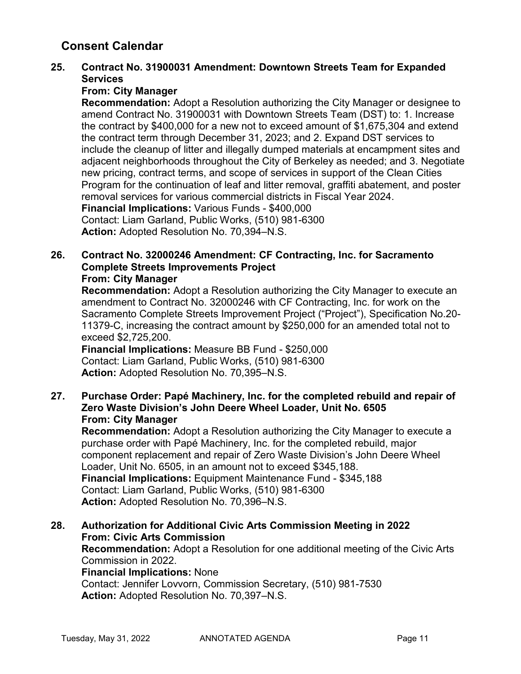### **25. Contract No. 31900031 Amendment: Downtown Streets Team for Expanded Services**

### **From: City Manager**

**Recommendation:** Adopt a Resolution authorizing the City Manager or designee to amend Contract No. 31900031 with Downtown Streets Team (DST) to: 1. Increase the contract by \$400,000 for a new not to exceed amount of \$1,675,304 and extend the contract term through December 31, 2023; and 2. Expand DST services to include the cleanup of litter and illegally dumped materials at encampment sites and adjacent neighborhoods throughout the City of Berkeley as needed; and 3. Negotiate new pricing, contract terms, and scope of services in support of the Clean Cities Program for the continuation of leaf and litter removal, graffiti abatement, and poster removal services for various commercial districts in Fiscal Year 2024. **Financial Implications:** Various Funds - \$400,000 Contact: Liam Garland, Public Works, (510) 981-6300

**Action:** Adopted Resolution No. 70,394–N.S.

#### **26. Contract No. 32000246 Amendment: CF Contracting, Inc. for Sacramento Complete Streets Improvements Project From: City Manager**

**Recommendation:** Adopt a Resolution authorizing the City Manager to execute an amendment to Contract No. 32000246 with CF Contracting, Inc. for work on the Sacramento Complete Streets Improvement Project ("Project"), Specification No.20- 11379-C, increasing the contract amount by \$250,000 for an amended total not to exceed \$2,725,200.

**Financial Implications:** Measure BB Fund - \$250,000 Contact: Liam Garland, Public Works, (510) 981-6300 **Action:** Adopted Resolution No. 70,395–N.S.

### **27. Purchase Order: Papé Machinery, Inc. for the completed rebuild and repair of Zero Waste Division's John Deere Wheel Loader, Unit No. 6505 From: City Manager**

**Recommendation:** Adopt a Resolution authorizing the City Manager to execute a purchase order with Papé Machinery, Inc. for the completed rebuild, major component replacement and repair of Zero Waste Division's John Deere Wheel Loader, Unit No. 6505, in an amount not to exceed \$345,188. **Financial Implications:** Equipment Maintenance Fund - \$345,188 Contact: Liam Garland, Public Works, (510) 981-6300 **Action:** Adopted Resolution No. 70,396–N.S.

#### **28. Authorization for Additional Civic Arts Commission Meeting in 2022 From: Civic Arts Commission Recommendation:** Adopt a Resolution for one additional meeting of the Civic Arts Commission in 2022. **Financial Implications:** None Contact: Jennifer Lovvorn, Commission Secretary, (510) 981-7530 **Action:** Adopted Resolution No. 70,397–N.S.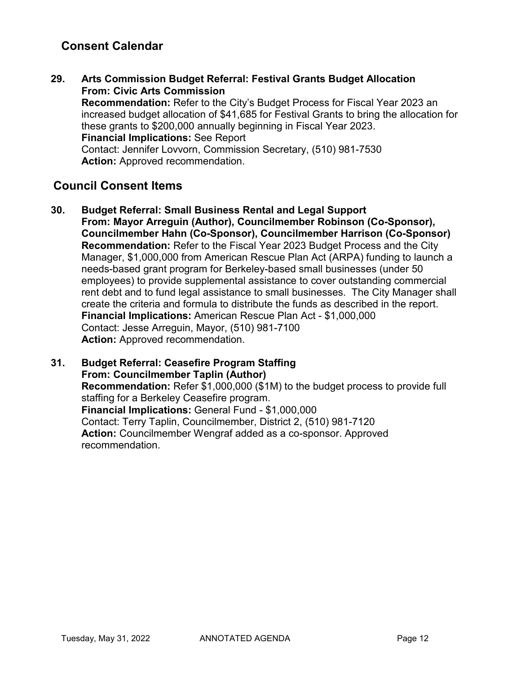**29. Arts Commission Budget Referral: Festival Grants Budget Allocation From: Civic Arts Commission Recommendation:** Refer to the City's Budget Process for Fiscal Year 2023 an increased budget allocation of \$41,685 for Festival Grants to bring the allocation for these grants to \$200,000 annually beginning in Fiscal Year 2023. **Financial Implications:** See Report Contact: Jennifer Lovvorn, Commission Secretary, (510) 981-7530 **Action:** Approved recommendation.

# **Council Consent Items**

**30. Budget Referral: Small Business Rental and Legal Support From: Mayor Arreguin (Author), Councilmember Robinson (Co-Sponsor), Councilmember Hahn (Co-Sponsor), Councilmember Harrison (Co-Sponsor) Recommendation:** Refer to the Fiscal Year 2023 Budget Process and the City Manager, \$1,000,000 from American Rescue Plan Act (ARPA) funding to launch a needs-based grant program for Berkeley-based small businesses (under 50 employees) to provide supplemental assistance to cover outstanding commercial rent debt and to fund legal assistance to small businesses. The City Manager shall create the criteria and formula to distribute the funds as described in the report. **Financial Implications:** American Rescue Plan Act - \$1,000,000 Contact: Jesse Arreguin, Mayor, (510) 981-7100 **Action:** Approved recommendation.

#### **31. Budget Referral: Ceasefire Program Staffing From: Councilmember Taplin (Author) Recommendation:** Refer \$1,000,000 (\$1M) to the budget process to provide full staffing for a Berkeley Ceasefire program. **Financial Implications:** General Fund - \$1,000,000 Contact: Terry Taplin, Councilmember, District 2, (510) 981-7120 **Action:** Councilmember Wengraf added as a co-sponsor. Approved recommendation.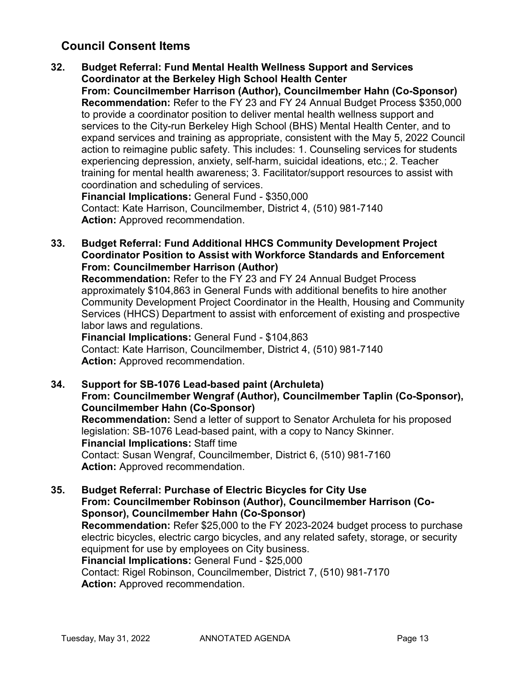# **Council Consent Items**

**32. Budget Referral: Fund Mental Health Wellness Support and Services Coordinator at the Berkeley High School Health Center From: Councilmember Harrison (Author), Councilmember Hahn (Co-Sponsor) Recommendation:** Refer to the FY 23 and FY 24 Annual Budget Process \$350,000 to provide a coordinator position to deliver mental health wellness support and services to the City-run Berkeley High School (BHS) Mental Health Center, and to expand services and training as appropriate, consistent with the May 5, 2022 Council action to reimagine public safety. This includes: 1. Counseling services for students experiencing depression, anxiety, self-harm, suicidal ideations, etc.; 2. Teacher training for mental health awareness; 3. Facilitator/support resources to assist with coordination and scheduling of services.

**Financial Implications:** General Fund - \$350,000 Contact: Kate Harrison, Councilmember, District 4, (510) 981-7140 **Action:** Approved recommendation.

**33. Budget Referral: Fund Additional HHCS Community Development Project Coordinator Position to Assist with Workforce Standards and Enforcement From: Councilmember Harrison (Author)**

**Recommendation:** Refer to the FY 23 and FY 24 Annual Budget Process approximately \$104,863 in General Funds with additional benefits to hire another Community Development Project Coordinator in the Health, Housing and Community Services (HHCS) Department to assist with enforcement of existing and prospective labor laws and regulations.

**Financial Implications:** General Fund - \$104,863 Contact: Kate Harrison, Councilmember, District 4, (510) 981-7140 **Action:** Approved recommendation.

**34. Support for SB-1076 Lead-based paint (Archuleta) From: Councilmember Wengraf (Author), Councilmember Taplin (Co-Sponsor), Councilmember Hahn (Co-Sponsor) Recommendation:** Send a letter of support to Senator Archuleta for his proposed legislation: SB-1076 Lead-based paint, with a copy to Nancy Skinner. **Financial Implications:** Staff time Contact: Susan Wengraf, Councilmember, District 6, (510) 981-7160 **Action:** Approved recommendation.

**35. Budget Referral: Purchase of Electric Bicycles for City Use From: Councilmember Robinson (Author), Councilmember Harrison (Co-Sponsor), Councilmember Hahn (Co-Sponsor) Recommendation:** Refer \$25,000 to the FY 2023-2024 budget process to purchase electric bicycles, electric cargo bicycles, and any related safety, storage, or security equipment for use by employees on City business. **Financial Implications:** General Fund - \$25,000 Contact: Rigel Robinson, Councilmember, District 7, (510) 981-7170 **Action:** Approved recommendation.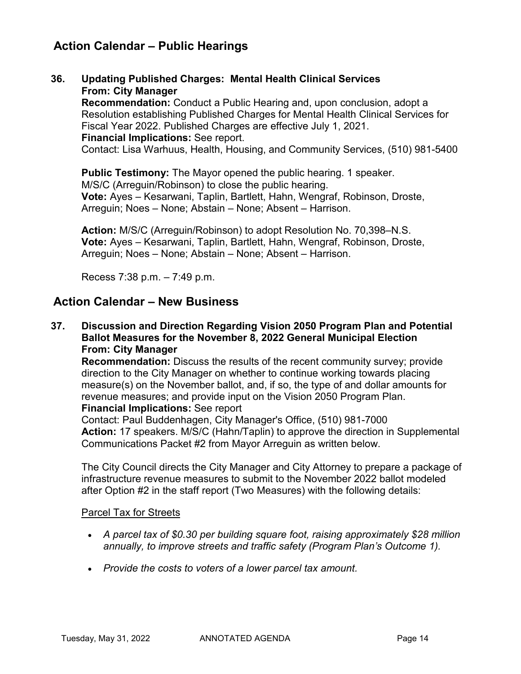# **Action Calendar – Public Hearings**

**36. Updating Published Charges: Mental Health Clinical Services From: City Manager Recommendation:** Conduct a Public Hearing and, upon conclusion, adopt a Resolution establishing Published Charges for Mental Health Clinical Services for Fiscal Year 2022. Published Charges are effective July 1, 2021. **Financial Implications:** See report. Contact: Lisa Warhuus, Health, Housing, and Community Services, (510) 981-5400

**Public Testimony:** The Mayor opened the public hearing. 1 speaker. M/S/C (Arreguin/Robinson) to close the public hearing. **Vote:** Ayes – Kesarwani, Taplin, Bartlett, Hahn, Wengraf, Robinson, Droste, Arreguin; Noes – None; Abstain – None; Absent – Harrison.

**Action:** M/S/C (Arreguin/Robinson) to adopt Resolution No. 70,398–N.S. **Vote:** Ayes – Kesarwani, Taplin, Bartlett, Hahn, Wengraf, Robinson, Droste, Arreguin; Noes – None; Abstain – None; Absent – Harrison.

Recess 7:38 p.m. – 7:49 p.m.

# **Action Calendar – New Business**

**37. Discussion and Direction Regarding Vision 2050 Program Plan and Potential Ballot Measures for the November 8, 2022 General Municipal Election From: City Manager**

**Recommendation:** Discuss the results of the recent community survey; provide direction to the City Manager on whether to continue working towards placing measure(s) on the November ballot, and, if so, the type of and dollar amounts for revenue measures; and provide input on the Vision 2050 Program Plan. **Financial Implications:** See report

Contact: Paul Buddenhagen, City Manager's Office, (510) 981-7000 **Action:** 17 speakers. M/S/C (Hahn/Taplin) to approve the direction in Supplemental Communications Packet #2 from Mayor Arreguin as written below.

The City Council directs the City Manager and City Attorney to prepare a package of infrastructure revenue measures to submit to the November 2022 ballot modeled after Option #2 in the staff report (Two Measures) with the following details:

### Parcel Tax for Streets

- *A parcel tax of \$0.30 per building square foot, raising approximately \$28 million annually, to improve streets and traffic safety (Program Plan's Outcome 1).*
- *Provide the costs to voters of a lower parcel tax amount.*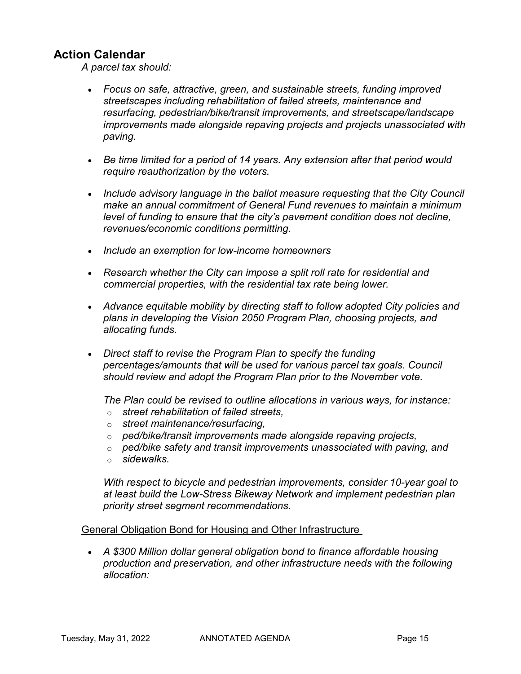# **Action Calendar**

*A parcel tax should:*

- *Focus on safe, attractive, green, and sustainable streets, funding improved streetscapes including rehabilitation of failed streets, maintenance and resurfacing, pedestrian/bike/transit improvements, and streetscape/landscape improvements made alongside repaving projects and projects unassociated with paving.*
- *Be time limited for a period of 14 years. Any extension after that period would require reauthorization by the voters.*
- Include advisory language in the ballot measure requesting that the City Council *make an annual commitment of General Fund revenues to maintain a minimum level of funding to ensure that the city's pavement condition does not decline, revenues/economic conditions permitting.*
- *Include an exemption for low-income homeowners*
- *Research whether the City can impose a split roll rate for residential and commercial properties, with the residential tax rate being lower.*
- *Advance equitable mobility by directing staff to follow adopted City policies and plans in developing the Vision 2050 Program Plan, choosing projects, and allocating funds.*
- *Direct staff to revise the Program Plan to specify the funding percentages/amounts that will be used for various parcel tax goals. Council should review and adopt the Program Plan prior to the November vote.*

*The Plan could be revised to outline allocations in various ways, for instance:*

- o *street rehabilitation of failed streets,*
- o *street maintenance/resurfacing,*
- o *ped/bike/transit improvements made alongside repaving projects,*
- o *ped/bike safety and transit improvements unassociated with paving, and*
- o *sidewalks.*

*With respect to bicycle and pedestrian improvements, consider 10-year goal to at least build the Low-Stress Bikeway Network and implement pedestrian plan priority street segment recommendations.*

#### General Obligation Bond for Housing and Other Infrastructure

• *A \$300 Million dollar general obligation bond to finance affordable housing production and preservation, and other infrastructure needs with the following allocation:*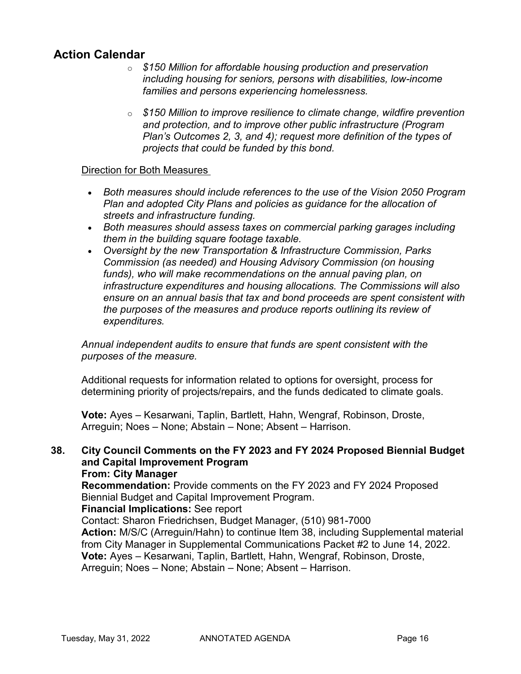# **Action Calendar**

- o *\$150 Million for affordable housing production and preservation including housing for seniors, persons with disabilities, low-income families and persons experiencing homelessness.*
- o *\$150 Million to improve resilience to climate change, wildfire prevention and protection, and to improve other public infrastructure (Program Plan's Outcomes 2, 3, and 4); request more definition of the types of projects that could be funded by this bond.*

#### Direction for Both Measures

- *Both measures should include references to the use of the Vision 2050 Program Plan and adopted City Plans and policies as guidance for the allocation of streets and infrastructure funding.*
- *Both measures should assess taxes on commercial parking garages including them in the building square footage taxable.*
- *Oversight by the new Transportation & Infrastructure Commission, Parks Commission (as needed) and Housing Advisory Commission (on housing funds), who will make recommendations on the annual paving plan, on infrastructure expenditures and housing allocations. The Commissions will also ensure on an annual basis that tax and bond proceeds are spent consistent with the purposes of the measures and produce reports outlining its review of expenditures.*

*Annual independent audits to ensure that funds are spent consistent with the purposes of the measure.*

Additional requests for information related to options for oversight, process for determining priority of projects/repairs, and the funds dedicated to climate goals.

**Vote:** Ayes – Kesarwani, Taplin, Bartlett, Hahn, Wengraf, Robinson, Droste, Arreguin; Noes – None; Abstain – None; Absent – Harrison.

# **38. City Council Comments on the FY 2023 and FY 2024 Proposed Biennial Budget and Capital Improvement Program**

### **From: City Manager**

**Recommendation:** Provide comments on the FY 2023 and FY 2024 Proposed Biennial Budget and Capital Improvement Program.

#### **Financial Implications:** See report

Contact: Sharon Friedrichsen, Budget Manager, (510) 981-7000 **Action:** M/S/C (Arreguin/Hahn) to continue Item 38, including Supplemental material from City Manager in Supplemental Communications Packet #2 to June 14, 2022. **Vote:** Ayes – Kesarwani, Taplin, Bartlett, Hahn, Wengraf, Robinson, Droste, Arreguin; Noes – None; Abstain – None; Absent – Harrison.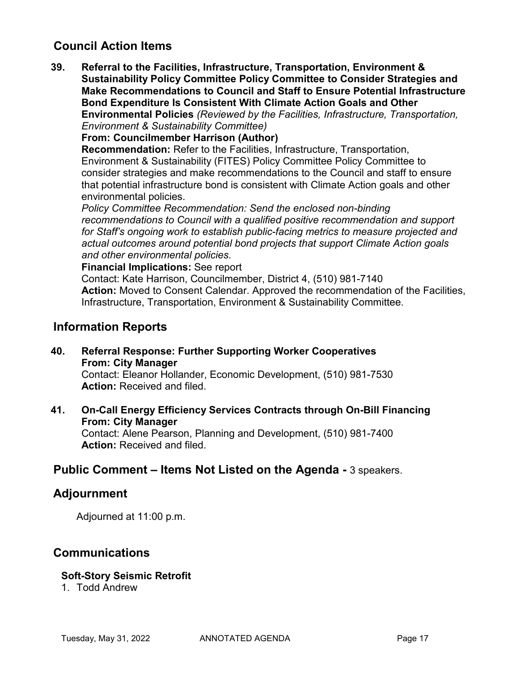# **Council Action Items**

**39. Referral to the Facilities, Infrastructure, Transportation, Environment & Sustainability Policy Committee Policy Committee to Consider Strategies and Make Recommendations to Council and Staff to Ensure Potential Infrastructure Bond Expenditure Is Consistent With Climate Action Goals and Other Environmental Policies** *(Reviewed by the Facilities, Infrastructure, Transportation, Environment & Sustainability Committee)*

**From: Councilmember Harrison (Author)**

**Recommendation:** Refer to the Facilities, Infrastructure, Transportation, Environment & Sustainability (FITES) Policy Committee Policy Committee to consider strategies and make recommendations to the Council and staff to ensure that potential infrastructure bond is consistent with Climate Action goals and other environmental policies.

*Policy Committee Recommendation: Send the enclosed non-binding recommendations to Council with a qualified positive recommendation and support for Staff's ongoing work to establish public-facing metrics to measure projected and actual outcomes around potential bond projects that support Climate Action goals and other environmental policies.* 

**Financial Implications:** See report

Contact: Kate Harrison, Councilmember, District 4, (510) 981-7140 **Action:** Moved to Consent Calendar. Approved the recommendation of the Facilities, Infrastructure, Transportation, Environment & Sustainability Committee.

### **Information Reports**

**40. Referral Response: Further Supporting Worker Cooperatives From: City Manager**

Contact: Eleanor Hollander, Economic Development, (510) 981-7530 **Action:** Received and filed.

**41. On-Call Energy Efficiency Services Contracts through On-Bill Financing From: City Manager**

Contact: Alene Pearson, Planning and Development, (510) 981-7400 **Action:** Received and filed.

# **Public Comment – Items Not Listed on the Agenda -** 3 speakers.

### **Adjournment**

Adjourned at 11:00 p.m.

### **Communications**

#### **Soft-Story Seismic Retrofit**

1. Todd Andrew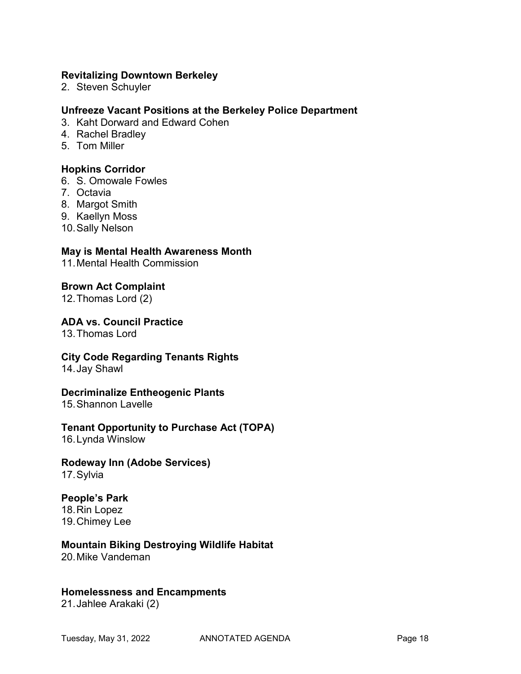#### **Revitalizing Downtown Berkeley**

2. Steven Schuyler

#### **Unfreeze Vacant Positions at the Berkeley Police Department**

- 3. Kaht Dorward and Edward Cohen
- 4. Rachel Bradley
- 5. Tom Miller

#### **Hopkins Corridor**

- 6. S. Omowale Fowles
- 7. Octavia
- 8. Margot Smith
- 9. Kaellyn Moss
- 10.Sally Nelson

#### **May is Mental Health Awareness Month**

11.Mental Health Commission

#### **Brown Act Complaint**

12.Thomas Lord (2)

#### **ADA vs. Council Practice**

13.Thomas Lord

### **City Code Regarding Tenants Rights**

14.Jay Shawl

### **Decriminalize Entheogenic Plants**

15.Shannon Lavelle

### **Tenant Opportunity to Purchase Act (TOPA)**

16.Lynda Winslow

### **Rodeway Inn (Adobe Services)**

17.Sylvia

### **People's Park**

18.Rin Lopez 19.Chimey Lee

### **Mountain Biking Destroying Wildlife Habitat**

20.Mike Vandeman

### **Homelessness and Encampments**

21.Jahlee Arakaki (2)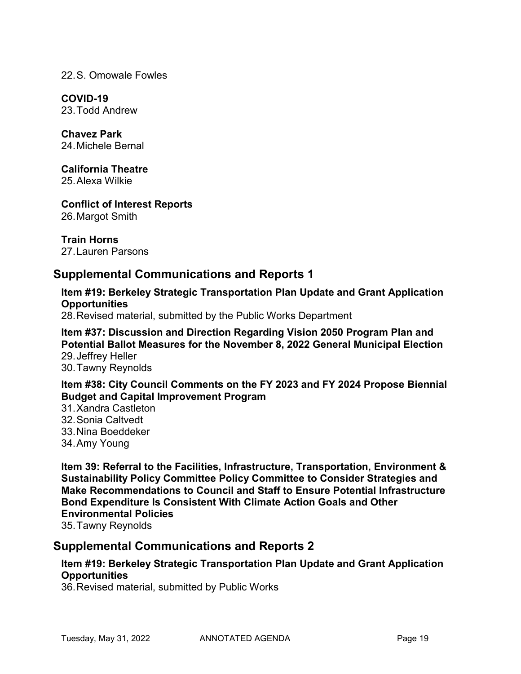22.S. Omowale Fowles

**COVID-19** 23.Todd Andrew

**Chavez Park** 24.Michele Bernal

**California Theatre** 25.Alexa Wilkie

**Conflict of Interest Reports** 26.Margot Smith

**Train Horns** 27.Lauren Parsons

# **Supplemental Communications and Reports 1**

**Item #19: Berkeley Strategic Transportation Plan Update and Grant Application Opportunities**

28.Revised material, submitted by the Public Works Department

**Item #37: Discussion and Direction Regarding Vision 2050 Program Plan and Potential Ballot Measures for the November 8, 2022 General Municipal Election** 29.Jeffrey Heller 30.Tawny Reynolds

**Item #38: City Council Comments on the FY 2023 and FY 2024 Propose Biennial Budget and Capital Improvement Program**

31.Xandra Castleton 32.Sonia Caltvedt 33.Nina Boeddeker 34.Amy Young

**Item 39: Referral to the Facilities, Infrastructure, Transportation, Environment & Sustainability Policy Committee Policy Committee to Consider Strategies and Make Recommendations to Council and Staff to Ensure Potential Infrastructure Bond Expenditure Is Consistent With Climate Action Goals and Other Environmental Policies** 35.Tawny Reynolds

# **Supplemental Communications and Reports 2**

### **Item #19: Berkeley Strategic Transportation Plan Update and Grant Application Opportunities**

36.Revised material, submitted by Public Works